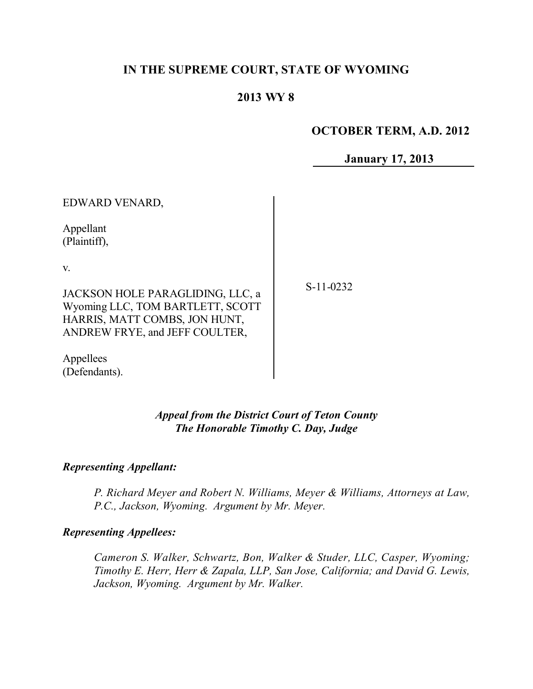# **IN THE SUPREME COURT, STATE OF WYOMING**

# **2013 WY 8**

## **OCTOBER TERM, A.D. 2012**

**January 17, 2013**

EDWARD VENARD,

Appellant (Plaintiff),

v.

JACKSON HOLE PARAGLIDING, LLC, a Wyoming LLC, TOM BARTLETT, SCOTT HARRIS, MATT COMBS, JON HUNT, ANDREW FRYE, and JEFF COULTER,

Appellees (Defendants). S-11-0232

*Appeal from the District Court of Teton County The Honorable Timothy C. Day, Judge*

#### *Representing Appellant:*

*P. Richard Meyer and Robert N. Williams, Meyer & Williams, Attorneys at Law, P.C., Jackson, Wyoming. Argument by Mr. Meyer.*

#### *Representing Appellees:*

*Cameron S. Walker, Schwartz, Bon, Walker & Studer, LLC, Casper, Wyoming; Timothy E. Herr, Herr & Zapala, LLP, San Jose, California; and David G. Lewis, Jackson, Wyoming. Argument by Mr. Walker.*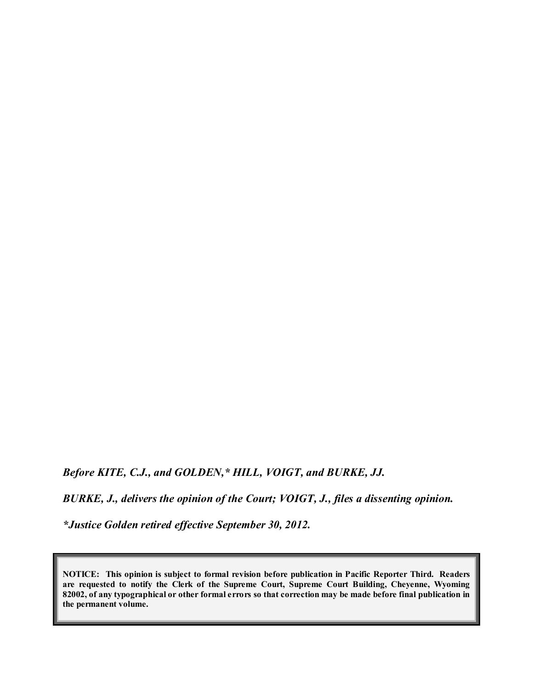*Before KITE, C.J., and GOLDEN,\* HILL, VOIGT, and BURKE, JJ.*

*BURKE, J., delivers the opinion of the Court; VOIGT, J., files a dissenting opinion.*

*\*Justice Golden retired effective September 30, 2012.*

**NOTICE: This opinion is subject to formal revision before publication in Pacific Reporter Third. Readers are requested to notify the Clerk of the Supreme Court, Supreme Court Building, Cheyenne, Wyoming** 82002, of any typographical or other formal errors so that correction may be made before final publication in **the permanent volume.**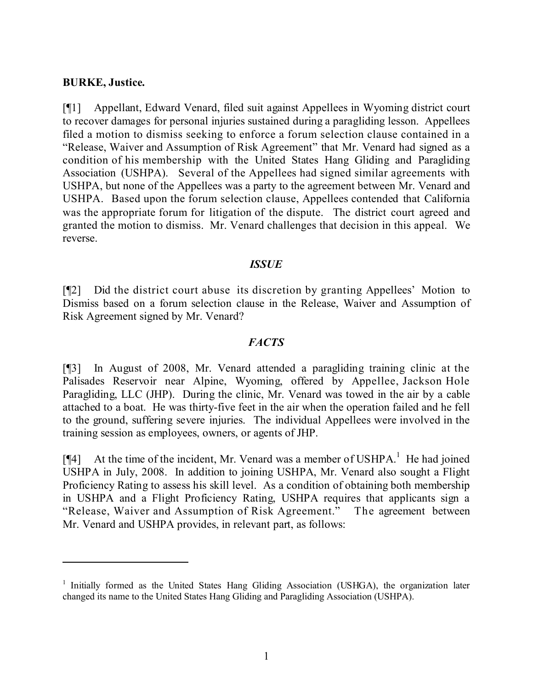### **BURKE, Justice.**

[¶1] Appellant, Edward Venard, filed suit against Appellees in Wyoming district court to recover damages for personal injuries sustained during a paragliding lesson. Appellees filed a motion to dismiss seeking to enforce a forum selection clause contained in a "Release, Waiver and Assumption of Risk Agreement" that Mr. Venard had signed as a condition of his membership with the United States Hang Gliding and Paragliding Association (USHPA). Several of the Appellees had signed similar agreements with USHPA, but none of the Appellees was a party to the agreement between Mr. Venard and USHPA. Based upon the forum selection clause, Appellees contended that California was the appropriate forum for litigation of the dispute. The district court agreed and granted the motion to dismiss. Mr. Venard challenges that decision in this appeal. We reverse.

#### *ISSUE*

[¶2] Did the district court abuse its discretion by granting Appellees' Motion to Dismiss based on a forum selection clause in the Release, Waiver and Assumption of Risk Agreement signed by Mr. Venard?

#### *FACTS*

[¶3] In August of 2008, Mr. Venard attended a paragliding training clinic at the Palisades Reservoir near Alpine, Wyoming, offered by Appellee, Jackson Hole Paragliding, LLC (JHP). During the clinic, Mr. Venard was towed in the air by a cable attached to a boat. He was thirty-five feet in the air when the operation failed and he fell to the ground, suffering severe injuries. The individual Appellees were involved in the training session as employees, owners, or agents of JHP.

[ $[$ 4] At the time of the incident, Mr. Venard was a member of USHPA.<sup>1</sup> He had joined USHPA in July, 2008. In addition to joining USHPA, Mr. Venard also sought a Flight Proficiency Rating to assess his skill level. As a condition of obtaining both membership in USHPA and a Flight Proficiency Rating, USHPA requires that applicants sign a "Release, Waiver and Assumption of Risk Agreement." The agreement between Mr. Venard and USHPA provides, in relevant part, as follows:

<sup>&</sup>lt;sup>1</sup> Initially formed as the United States Hang Gliding Association (USHGA), the organization later changed its name to the United States Hang Gliding and Paragliding Association (USHPA).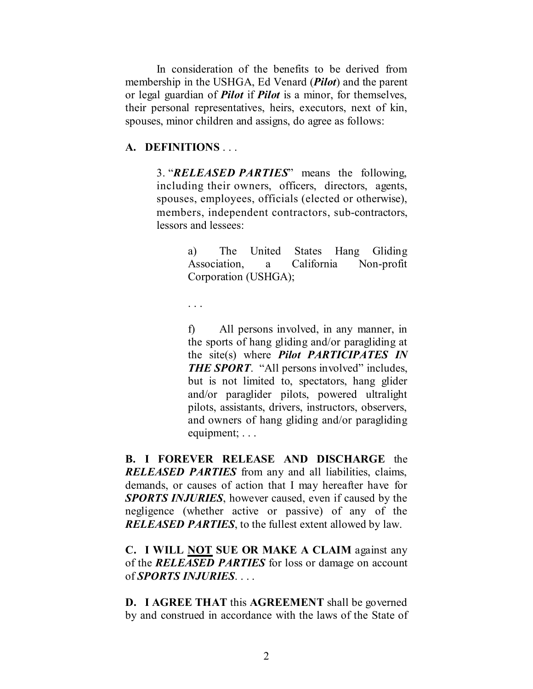In consideration of the benefits to be derived from membership in the USHGA, Ed Venard (*Pilot*) and the parent or legal guardian of *Pilot* if *Pilot* is a minor, for themselves, their personal representatives, heirs, executors, next of kin, spouses, minor children and assigns, do agree as follows:

#### **A. DEFINITIONS** . . .

3. "*RELEASED PARTIES*" means the following, including their owners, officers, directors, agents, spouses, employees, officials (elected or otherwise), members, independent contractors, sub-contractors, lessors and lessees:

> a) The United States Hang Gliding Association, a California Non-profit Corporation (USHGA);

. . .

f) All persons involved, in any manner, in the sports of hang gliding and/or paragliding at the site(s) where *Pilot PARTICIPATES IN* **THE SPORT.** "All persons involved" includes, but is not limited to, spectators, hang glider and/or paraglider pilots, powered ultralight pilots, assistants, drivers, instructors, observers, and owners of hang gliding and/or paragliding equipment; . . .

**B. I FOREVER RELEASE AND DISCHARGE** the *RELEASED PARTIES* from any and all liabilities, claims, demands, or causes of action that I may hereafter have for *SPORTS INJURIES*, however caused, even if caused by the negligence (whether active or passive) of any of the *RELEASED PARTIES*, to the fullest extent allowed by law.

**C. I WILL NOT SUE OR MAKE A CLAIM** against any of the *RELEASED PARTIES* for loss or damage on account of *SPORTS INJURIES*. . . .

**D. I AGREE THAT** this **AGREEMENT** shall be governed by and construed in accordance with the laws of the State of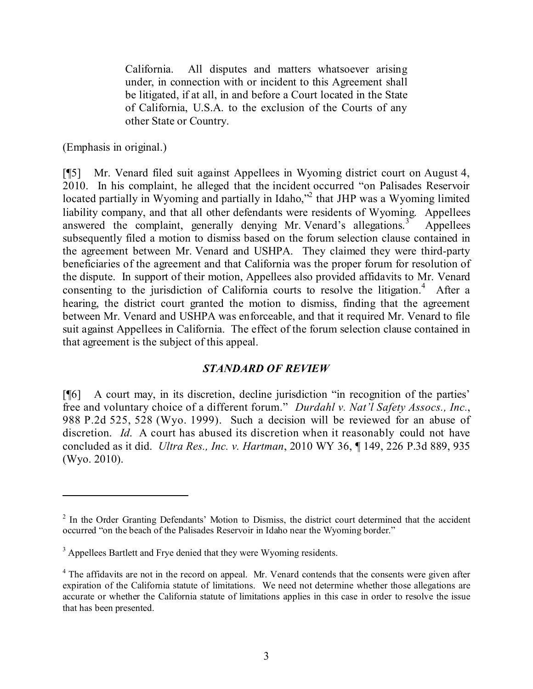California. All disputes and matters whatsoever arising under, in connection with or incident to this Agreement shall be litigated, if at all, in and before a Court located in the State of California, U.S.A. to the exclusion of the Courts of any other State or Country.

(Emphasis in original.)

[¶5] Mr. Venard filed suit against Appellees in Wyoming district court on August 4, 2010. In his complaint, he alleged that the incident occurred "on Palisades Reservoir located partially in Wyoming and partially in Idaho,"<sup>2</sup> that JHP was a Wyoming limited liability company, and that all other defendants were residents of Wyoming. Appellees answered the complaint, generally denying Mr. Venard's allegations. **Appellees** subsequently filed a motion to dismiss based on the forum selection clause contained in the agreement between Mr. Venard and USHPA. They claimed they were third-party beneficiaries of the agreement and that California was the proper forum for resolution of the dispute. In support of their motion, Appellees also provided affidavits to Mr. Venard consenting to the jurisdiction of California courts to resolve the litigation.<sup>4</sup> After a hearing, the district court granted the motion to dismiss, finding that the agreement between Mr. Venard and USHPA was enforceable, and that it required Mr. Venard to file suit against Appellees in California. The effect of the forum selection clause contained in that agreement is the subject of this appeal.

## *STANDARD OF REVIEW*

[¶6] A court may, in its discretion, decline jurisdiction "in recognition of the parties' free and voluntary choice of a different forum." *Durdahl v. Nat'l Safety Assocs., Inc.*, 988 P.2d 525, 528 (Wyo. 1999). Such a decision will be reviewed for an abuse of discretion. *Id*. A court has abused its discretion when it reasonably could not have concluded as it did. *Ultra Res., Inc. v. Hartman*, 2010 WY 36, ¶ 149, 226 P.3d 889, 935 (Wyo. 2010).

<sup>&</sup>lt;sup>2</sup> In the Order Granting Defendants' Motion to Dismiss, the district court determined that the accident occurred "on the beach of the Palisades Reservoir in Idaho near the Wyoming border."

<sup>&</sup>lt;sup>3</sup> Appellees Bartlett and Frye denied that they were Wyoming residents.

<sup>&</sup>lt;sup>4</sup> The affidavits are not in the record on appeal. Mr. Venard contends that the consents were given after expiration of the California statute of limitations. We need not determine whether those allegations are accurate or whether the California statute of limitations applies in this case in order to resolve the issue that has been presented.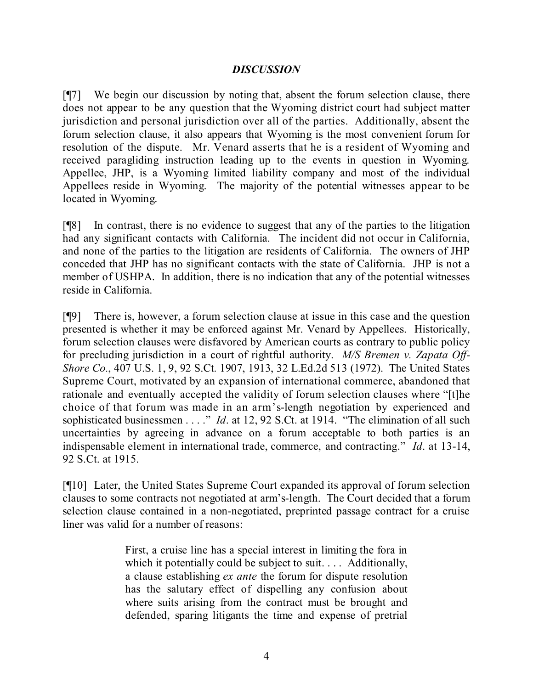## *DISCUSSION*

[¶7] We begin our discussion by noting that, absent the forum selection clause, there does not appear to be any question that the Wyoming district court had subject matter jurisdiction and personal jurisdiction over all of the parties. Additionally, absent the forum selection clause, it also appears that Wyoming is the most convenient forum for resolution of the dispute. Mr. Venard asserts that he is a resident of Wyoming and received paragliding instruction leading up to the events in question in Wyoming. Appellee, JHP, is a Wyoming limited liability company and most of the individual Appellees reside in Wyoming. The majority of the potential witnesses appear to be located in Wyoming.

[¶8] In contrast, there is no evidence to suggest that any of the parties to the litigation had any significant contacts with California. The incident did not occur in California, and none of the parties to the litigation are residents of California. The owners of JHP conceded that JHP has no significant contacts with the state of California. JHP is not a member of USHPA. In addition, there is no indication that any of the potential witnesses reside in California.

[¶9] There is, however, a forum selection clause at issue in this case and the question presented is whether it may be enforced against Mr. Venard by Appellees. Historically, forum selection clauses were disfavored by American courts as contrary to public policy for precluding jurisdiction in a court of rightful authority. *M/S Bremen v. Zapata Off-Shore Co.*, 407 U.S. 1, 9, 92 S.Ct. 1907, 1913, 32 L.Ed.2d 513 (1972). The United States Supreme Court, motivated by an expansion of international commerce, abandoned that rationale and eventually accepted the validity of forum selection clauses where "[t]he choice of that forum was made in an arm's-length negotiation by experienced and sophisticated businessmen . . . ." *Id*. at 12, 92 S.Ct. at 1914. "The elimination of all such uncertainties by agreeing in advance on a forum acceptable to both parties is an indispensable element in international trade, commerce, and contracting." *Id*. at 13-14, 92 S.Ct. at 1915.

[¶10] Later, the United States Supreme Court expanded its approval of forum selection clauses to some contracts not negotiated at arm's-length. The Court decided that a forum selection clause contained in a non-negotiated, preprinted passage contract for a cruise liner was valid for a number of reasons:

> First, a cruise line has a special interest in limiting the fora in which it potentially could be subject to suit. . . . Additionally, a clause establishing *ex ante* the forum for dispute resolution has the salutary effect of dispelling any confusion about where suits arising from the contract must be brought and defended, sparing litigants the time and expense of pretrial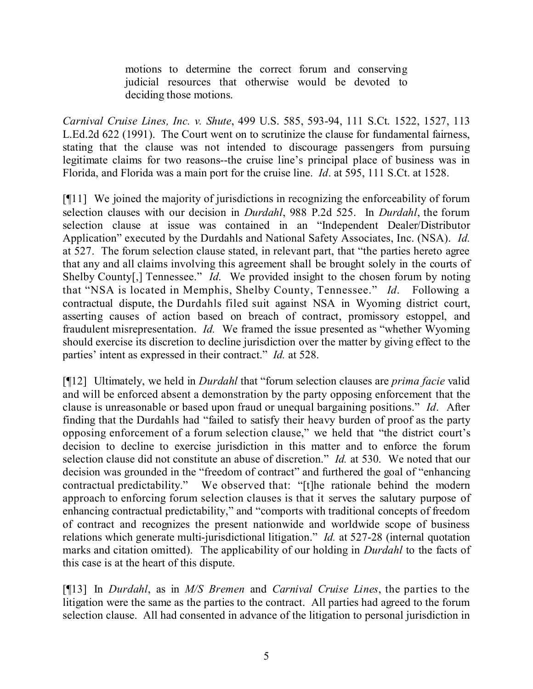motions to determine the correct forum and conserving judicial resources that otherwise would be devoted to deciding those motions.

*Carnival Cruise Lines, Inc. v. Shute*, 499 U.S. 585, 593-94, 111 S.Ct. 1522, 1527, 113 L.Ed.2d 622 (1991). The Court went on to scrutinize the clause for fundamental fairness, stating that the clause was not intended to discourage passengers from pursuing legitimate claims for two reasons--the cruise line's principal place of business was in Florida, and Florida was a main port for the cruise line. *Id*. at 595, 111 S.Ct. at 1528.

[¶11] We joined the majority of jurisdictions in recognizing the enforceability of forum selection clauses with our decision in *Durdahl*, 988 P.2d 525. In *Durdahl*, the forum selection clause at issue was contained in an "Independent Dealer/Distributor Application" executed by the Durdahls and National Safety Associates, Inc. (NSA). *Id.* at 527. The forum selection clause stated, in relevant part, that "the parties hereto agree that any and all claims involving this agreement shall be brought solely in the courts of Shelby County[,] Tennessee." *Id*. We provided insight to the chosen forum by noting that "NSA is located in Memphis, Shelby County, Tennessee." *Id*. Following a contractual dispute, the Durdahls filed suit against NSA in Wyoming district court, asserting causes of action based on breach of contract, promissory estoppel, and fraudulent misrepresentation. *Id.* We framed the issue presented as "whether Wyoming should exercise its discretion to decline jurisdiction over the matter by giving effect to the parties' intent as expressed in their contract." *Id.* at 528.

[¶12] Ultimately, we held in *Durdahl* that "forum selection clauses are *prima facie* valid and will be enforced absent a demonstration by the party opposing enforcement that the clause is unreasonable or based upon fraud or unequal bargaining positions." *Id*. After finding that the Durdahls had "failed to satisfy their heavy burden of proof as the party opposing enforcement of a forum selection clause," we held that "the district court's decision to decline to exercise jurisdiction in this matter and to enforce the forum selection clause did not constitute an abuse of discretion." *Id.* at 530. We noted that our decision was grounded in the "freedom of contract" and furthered the goal of "enhancing contractual predictability." We observed that: "[t]he rationale behind the modern approach to enforcing forum selection clauses is that it serves the salutary purpose of enhancing contractual predictability," and "comports with traditional concepts of freedom of contract and recognizes the present nationwide and worldwide scope of business relations which generate multi-jurisdictional litigation." *Id.* at 527-28 (internal quotation marks and citation omitted). The applicability of our holding in *Durdahl* to the facts of this case is at the heart of this dispute.

[¶13] In *Durdahl*, as in *M/S Bremen* and *Carnival Cruise Lines*, the parties to the litigation were the same as the parties to the contract. All parties had agreed to the forum selection clause. All had consented in advance of the litigation to personal jurisdiction in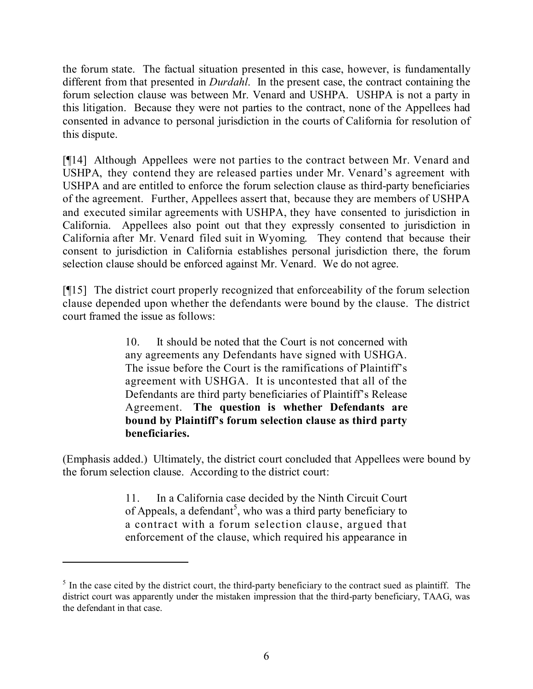the forum state. The factual situation presented in this case, however, is fundamentally different from that presented in *Durdahl*. In the present case, the contract containing the forum selection clause was between Mr. Venard and USHPA. USHPA is not a party in this litigation. Because they were not parties to the contract, none of the Appellees had consented in advance to personal jurisdiction in the courts of California for resolution of this dispute.

[¶14] Although Appellees were not parties to the contract between Mr. Venard and USHPA, they contend they are released parties under Mr. Venard's agreement with USHPA and are entitled to enforce the forum selection clause as third-party beneficiaries of the agreement. Further, Appellees assert that, because they are members of USHPA and executed similar agreements with USHPA, they have consented to jurisdiction in California. Appellees also point out that they expressly consented to jurisdiction in California after Mr. Venard filed suit in Wyoming. They contend that because their consent to jurisdiction in California establishes personal jurisdiction there, the forum selection clause should be enforced against Mr. Venard. We do not agree.

[¶15] The district court properly recognized that enforceability of the forum selection clause depended upon whether the defendants were bound by the clause. The district court framed the issue as follows:

> 10. It should be noted that the Court is not concerned with any agreements any Defendants have signed with USHGA. The issue before the Court is the ramifications of Plaintiff's agreement with USHGA. It is uncontested that all of the Defendants are third party beneficiaries of Plaintiff's Release Agreement. **The question is whether Defendants are bound by Plaintiff's forum selection clause as third party beneficiaries.**

(Emphasis added.) Ultimately, the district court concluded that Appellees were bound by the forum selection clause. According to the district court:

> 11. In a California case decided by the Ninth Circuit Court of Appeals, a defendant<sup>5</sup>, who was a third party beneficiary to a contract with a forum selection clause, argued that enforcement of the clause, which required his appearance in

 $<sup>5</sup>$  In the case cited by the district court, the third-party beneficiary to the contract sued as plaintiff. The</sup> district court was apparently under the mistaken impression that the third-party beneficiary, TAAG, was the defendant in that case.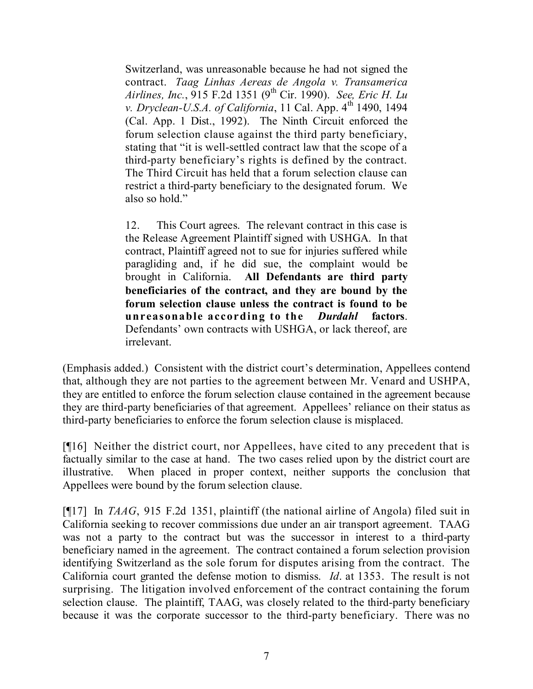Switzerland, was unreasonable because he had not signed the contract. *Taag Linhas Aereas de Angola v. Transamerica Airlines, Inc.*, 915 F.2d 1351 (9 th Cir. 1990). *See, Eric H. Lu v. Dryclean-U.S.A. of California*, 11 Cal. App. 4 th 1490, 1494 (Cal. App. 1 Dist., 1992). The Ninth Circuit enforced the forum selection clause against the third party beneficiary, stating that "it is well-settled contract law that the scope of a third-party beneficiary's rights is defined by the contract. The Third Circuit has held that a forum selection clause can restrict a third-party beneficiary to the designated forum. We also so hold."

12. This Court agrees. The relevant contract in this case is the Release Agreement Plaintiff signed with USHGA. In that contract, Plaintiff agreed not to sue for injuries suffered while paragliding and, if he did sue, the complaint would be brought in California. **All Defendants are third party beneficiaries of the contract, and they are bound by the forum selection clause unless the contract is found to be unreasonable according to the** *Durdahl* **factors**. Defendants' own contracts with USHGA, or lack thereof, are irrelevant.

(Emphasis added.) Consistent with the district court's determination, Appellees contend that, although they are not parties to the agreement between Mr. Venard and USHPA, they are entitled to enforce the forum selection clause contained in the agreement because they are third-party beneficiaries of that agreement. Appellees' reliance on their status as third-party beneficiaries to enforce the forum selection clause is misplaced.

[¶16] Neither the district court, nor Appellees, have cited to any precedent that is factually similar to the case at hand. The two cases relied upon by the district court are illustrative. When placed in proper context, neither supports the conclusion that Appellees were bound by the forum selection clause.

[¶17] In *TAAG*, 915 F.2d 1351, plaintiff (the national airline of Angola) filed suit in California seeking to recover commissions due under an air transport agreement. TAAG was not a party to the contract but was the successor in interest to a third-party beneficiary named in the agreement. The contract contained a forum selection provision identifying Switzerland as the sole forum for disputes arising from the contract. The California court granted the defense motion to dismiss. *Id*. at 1353. The result is not surprising. The litigation involved enforcement of the contract containing the forum selection clause. The plaintiff, TAAG, was closely related to the third-party beneficiary because it was the corporate successor to the third-party beneficiary. There was no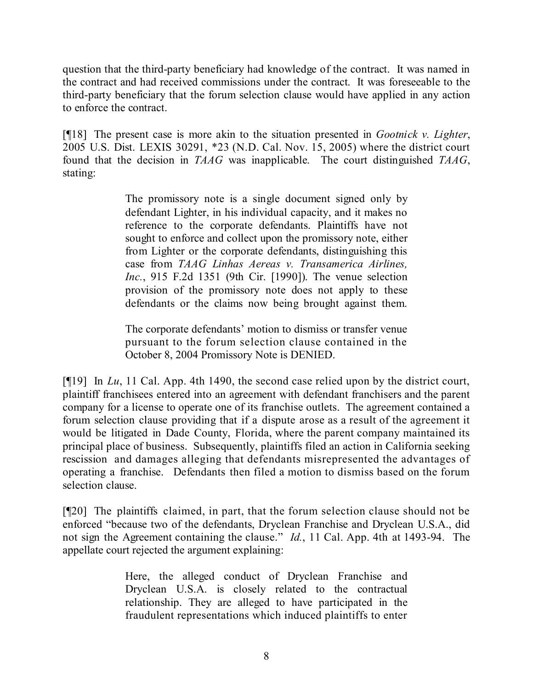question that the third-party beneficiary had knowledge of the contract. It was named in the contract and had received commissions under the contract. It was foreseeable to the third-party beneficiary that the forum selection clause would have applied in any action to enforce the contract.

[¶18] The present case is more akin to the situation presented in *Gootnick v. Lighter*, 2005 U.S. Dist. LEXIS 30291, \*23 (N.D. Cal. Nov. 15, 2005) where the district court found that the decision in *TAAG* was inapplicable. The court distinguished *TAAG*, stating:

> The promissory note is a single document signed only by defendant Lighter, in his individual capacity, and it makes no reference to the corporate defendants. Plaintiffs have not sought to enforce and collect upon the promissory note, either from Lighter or the corporate defendants, distinguishing this case from *TAAG Linhas Aereas v. Transamerica Airlines, Inc.*, 915 F.2d 1351 (9th Cir. [1990]). The venue selection provision of the promissory note does not apply to these defendants or the claims now being brought against them.

> The corporate defendants' motion to dismiss or transfer venue pursuant to the forum selection clause contained in the October 8, 2004 Promissory Note is DENIED.

[¶19] In *Lu*, 11 Cal. App. 4th 1490, the second case relied upon by the district court, plaintiff franchisees entered into an agreement with defendant franchisers and the parent company for a license to operate one of its franchise outlets. The agreement contained a forum selection clause providing that if a dispute arose as a result of the agreement it would be litigated in Dade County, Florida, where the parent company maintained its principal place of business. Subsequently, plaintiffs filed an action in California seeking rescission and damages alleging that defendants misrepresented the advantages of operating a franchise. Defendants then filed a motion to dismiss based on the forum selection clause.

[¶20] The plaintiffs claimed, in part, that the forum selection clause should not be enforced "because two of the defendants, Dryclean Franchise and Dryclean U.S.A., did not sign the Agreement containing the clause." *Id.*, 11 Cal. App. 4th at 1493-94. The appellate court rejected the argument explaining:

> Here, the alleged conduct of Dryclean Franchise and Dryclean U.S.A. is closely related to the contractual relationship. They are alleged to have participated in the fraudulent representations which induced plaintiffs to enter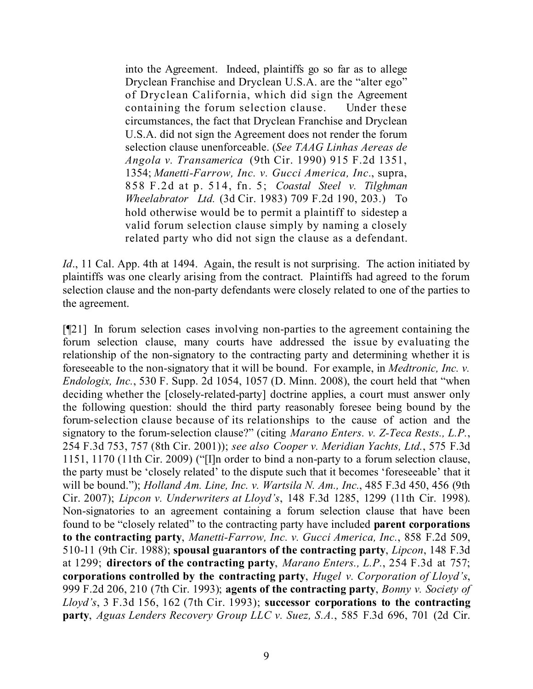into the Agreement. Indeed, plaintiffs go so far as to allege Dryclean Franchise and Dryclean U.S.A. are the "alter ego" of Dryclean California, which did sign the Agreement containing the forum selection clause. Under these circumstances, the fact that Dryclean Franchise and Dryclean U.S.A. did not sign the Agreement does not render the forum selection clause unenforceable. (*See TAAG Linhas Aereas de Angola v. Transamerica* (9th Cir. 1990) 915 F.2d 1351, 1354; *Manetti-Farrow, Inc. v. Gucci America, Inc.*, supra, 858 F.2d at p. 514, fn. 5; *Coastal Steel v. Tilghman Wheelabrator Ltd.* (3d Cir. 1983) 709 F.2d 190, 203.) To hold otherwise would be to permit a plaintiff to sidestep a valid forum selection clause simply by naming a closely related party who did not sign the clause as a defendant.

*Id.*, 11 Cal. App. 4th at 1494. Again, the result is not surprising. The action initiated by plaintiffs was one clearly arising from the contract. Plaintiffs had agreed to the forum selection clause and the non-party defendants were closely related to one of the parties to the agreement.

[¶21] In forum selection cases involving non-parties to the agreement containing the forum selection clause, many courts have addressed the issue by evaluating the relationship of the non-signatory to the contracting party and determining whether it is foreseeable to the non-signatory that it will be bound. For example, in *Medtronic, Inc. v. Endologix, Inc.*, 530 F. Supp. 2d 1054, 1057 (D. Minn. 2008), the court held that "when deciding whether the [closely-related-party] doctrine applies, a court must answer only the following question: should the third party reasonably foresee being bound by the forum-selection clause because of its relationships to the cause of action and the signatory to the forum-selection clause?" (citing *Marano Enters. v. Z-Teca Rests., L.P.*, 254 F.3d 753, 757 (8th Cir. 2001)); *see also Cooper v. Meridian Yachts, Ltd.*, 575 F.3d 1151, 1170 (11th Cir. 2009) ("[I]n order to bind a non-party to a forum selection clause, the party must be 'closely related' to the dispute such that it becomes 'foreseeable' that it will be bound."); *Holland Am. Line, Inc. v. Wartsila N. Am., Inc.*, 485 F.3d 450, 456 (9th Cir. 2007); *Lipcon v. Underwriters at Lloyd's*, 148 F.3d 1285, 1299 (11th Cir. 1998). Non-signatories to an agreement containing a forum selection clause that have been found to be "closely related" to the contracting party have included **parent corporations to the contracting party**, *Manetti-Farrow, Inc. v. Gucci America, Inc.*, 858 F.2d 509, 510-11 (9th Cir. 1988); **spousal guarantors of the contracting party**, *Lipcon*, 148 F.3d at 1299; **directors of the contracting party**, *Marano Enters., L.P.*, 254 F.3d at 757; **corporations controlled by the contracting party**, *Hugel v. Corporation of Lloyd's*, 999 F.2d 206, 210 (7th Cir. 1993); **agents of the contracting party**, *Bonny v. Society of Lloyd's*, 3 F.3d 156, 162 (7th Cir. 1993); **successor corporations to the contracting party**, *Aguas Lenders Recovery Group LLC v. Suez, S.A.*, 585 F.3d 696, 701 (2d Cir.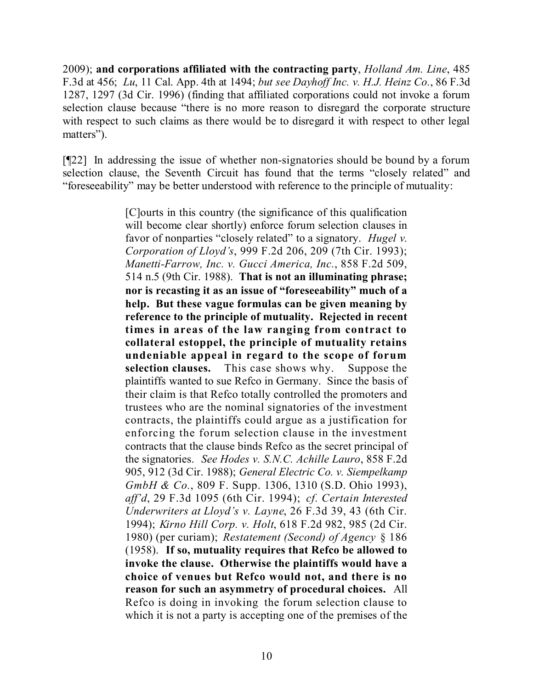2009); **and corporations affiliated with the contracting party**, *Holland Am. Line*, 485 F.3d at 456; *Lu*, 11 Cal. App. 4th at 1494; *but see Dayhoff Inc. v. H.J. Heinz Co.*, 86 F.3d 1287, 1297 (3d Cir. 1996) (finding that affiliated corporations could not invoke a forum selection clause because "there is no more reason to disregard the corporate structure with respect to such claims as there would be to disregard it with respect to other legal matters").

[¶22] In addressing the issue of whether non-signatories should be bound by a forum selection clause, the Seventh Circuit has found that the terms "closely related" and "foreseeability" may be better understood with reference to the principle of mutuality:

> [C]ourts in this country (the significance of this qualification will become clear shortly) enforce forum selection clauses in favor of nonparties "closely related" to a signatory. *Hugel v. Corporation of Lloyd's*, 999 F.2d 206, 209 (7th Cir. 1993); *Manetti-Farrow, Inc. v. Gucci America, Inc.*, 858 F.2d 509, 514 n.5 (9th Cir. 1988). **That is not an illuminating phrase; nor is recasting it as an issue of "foreseeability" much of a help. But these vague formulas can be given meaning by reference to the principle of mutuality. Rejected in recent times in areas of the law ranging from contract to collateral estoppel, the principle of mutuality retains undeniable appeal in regard to the scope of forum selection clauses.** This case shows why. Suppose the plaintiffs wanted to sue Refco in Germany. Since the basis of their claim is that Refco totally controlled the promoters and trustees who are the nominal signatories of the investment contracts, the plaintiffs could argue as a justification for enforcing the forum selection clause in the investment contracts that the clause binds Refco as the secret principal of the signatories. *See Hodes v. S.N.C. Achille Lauro*, 858 F.2d 905, 912 (3d Cir. 1988); *General Electric Co. v. Siempelkamp GmbH & Co.*, 809 F. Supp. 1306, 1310 (S.D. Ohio 1993), *aff'd*, 29 F.3d 1095 (6th Cir. 1994); *cf. Certain Interested Underwriters at Lloyd's v. Layne*, 26 F.3d 39, 43 (6th Cir. 1994); *Kirno Hill Corp. v. Holt*, 618 F.2d 982, 985 (2d Cir. 1980) (per curiam); *Restatement (Second) of Agency* § 186 (1958). **If so, mutuality requires that Refco be allowed to invoke the clause. Otherwise the plaintiffs would have a choice of venues but Refco would not, and there is no reason for such an asymmetry of procedural choices.** All Refco is doing in invoking the forum selection clause to which it is not a party is accepting one of the premises of the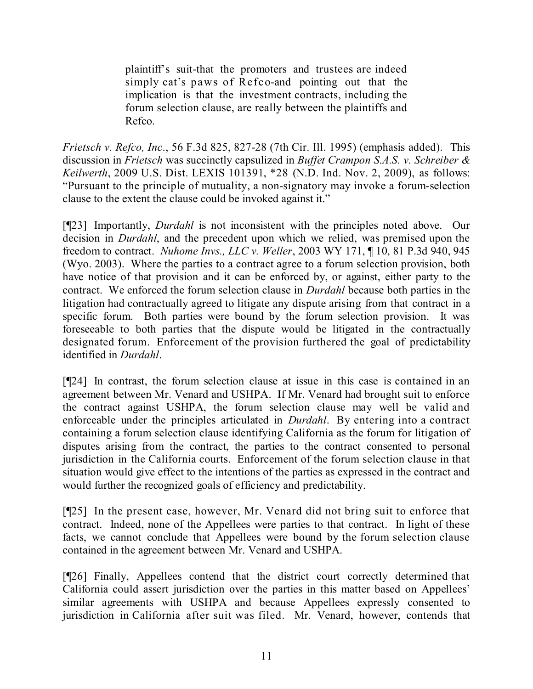plaintiff's suit-that the promoters and trustees are indeed simply cat's paws of Refco-and pointing out that the implication is that the investment contracts, including the forum selection clause, are really between the plaintiffs and Refco.

*Frietsch v. Refco, Inc*., 56 F.3d 825, 827-28 (7th Cir. Ill. 1995) (emphasis added). This discussion in *Frietsch* was succinctly capsulized in *Buffet Crampon S.A.S. v. Schreiber & Keilwerth*, 2009 U.S. Dist. LEXIS 101391, \*28 (N.D. Ind. Nov. 2, 2009), as follows: "Pursuant to the principle of mutuality, a non-signatory may invoke a forum-selection clause to the extent the clause could be invoked against it."

[¶23] Importantly, *Durdahl* is not inconsistent with the principles noted above. Our decision in *Durdahl*, and the precedent upon which we relied, was premised upon the freedom to contract. *Nuhome Invs., LLC v. Weller*, 2003 WY 171, ¶ 10, 81 P.3d 940, 945 (Wyo. 2003). Where the parties to a contract agree to a forum selection provision, both have notice of that provision and it can be enforced by, or against, either party to the contract. We enforced the forum selection clause in *Durdahl* because both parties in the litigation had contractually agreed to litigate any dispute arising from that contract in a specific forum. Both parties were bound by the forum selection provision. It was foreseeable to both parties that the dispute would be litigated in the contractually designated forum. Enforcement of the provision furthered the goal of predictability identified in *Durdahl*.

[¶24] In contrast, the forum selection clause at issue in this case is contained in an agreement between Mr. Venard and USHPA. If Mr. Venard had brought suit to enforce the contract against USHPA, the forum selection clause may well be valid and enforceable under the principles articulated in *Durdahl*. By entering into a contract containing a forum selection clause identifying California as the forum for litigation of disputes arising from the contract, the parties to the contract consented to personal jurisdiction in the California courts. Enforcement of the forum selection clause in that situation would give effect to the intentions of the parties as expressed in the contract and would further the recognized goals of efficiency and predictability.

[¶25] In the present case, however, Mr. Venard did not bring suit to enforce that contract. Indeed, none of the Appellees were parties to that contract. In light of these facts, we cannot conclude that Appellees were bound by the forum selection clause contained in the agreement between Mr. Venard and USHPA.

[¶26] Finally, Appellees contend that the district court correctly determined that California could assert jurisdiction over the parties in this matter based on Appellees' similar agreements with USHPA and because Appellees expressly consented to jurisdiction in California after suit was filed. Mr. Venard, however, contends that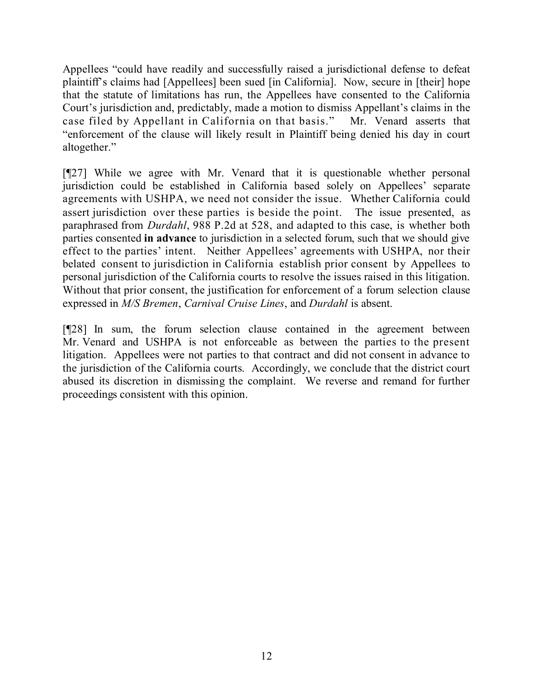Appellees "could have readily and successfully raised a jurisdictional defense to defeat plaintiff's claims had [Appellees] been sued [in California]. Now, secure in [their] hope that the statute of limitations has run, the Appellees have consented to the California Court's jurisdiction and, predictably, made a motion to dismiss Appellant's claims in the case filed by Appellant in California on that basis." Mr. Venard asserts that "enforcement of the clause will likely result in Plaintiff being denied his day in court altogether."

[¶27] While we agree with Mr. Venard that it is questionable whether personal jurisdiction could be established in California based solely on Appellees' separate agreements with USHPA, we need not consider the issue. Whether California could assert jurisdiction over these parties is beside the point. The issue presented, as paraphrased from *Durdahl*, 988 P.2d at 528, and adapted to this case, is whether both parties consented **in advance** to jurisdiction in a selected forum, such that we should give effect to the parties' intent. Neither Appellees' agreements with USHPA, nor their belated consent to jurisdiction in California establish prior consent by Appellees to personal jurisdiction of the California courts to resolve the issues raised in this litigation. Without that prior consent, the justification for enforcement of a forum selection clause expressed in *M/S Bremen*, *Carnival Cruise Lines*, and *Durdahl* is absent.

[¶28] In sum, the forum selection clause contained in the agreement between Mr. Venard and USHPA is not enforceable as between the parties to the present litigation. Appellees were not parties to that contract and did not consent in advance to the jurisdiction of the California courts. Accordingly, we conclude that the district court abused its discretion in dismissing the complaint. We reverse and remand for further proceedings consistent with this opinion.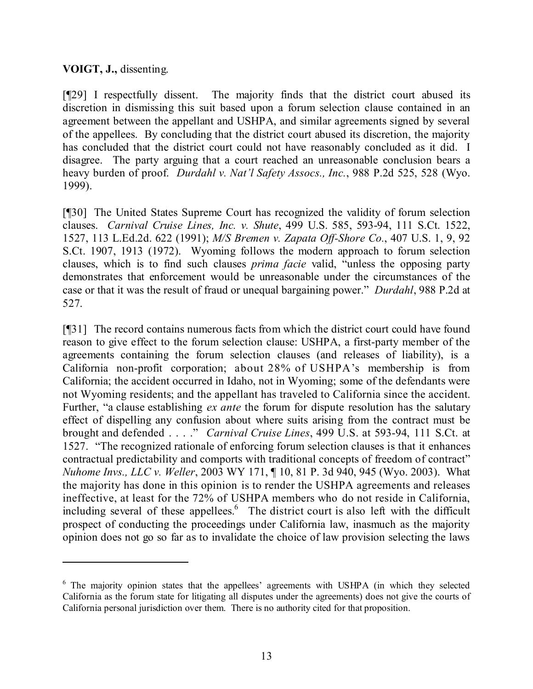## **VOIGT, J.,** dissenting.

[¶29] I respectfully dissent. The majority finds that the district court abused its discretion in dismissing this suit based upon a forum selection clause contained in an agreement between the appellant and USHPA, and similar agreements signed by several of the appellees. By concluding that the district court abused its discretion, the majority has concluded that the district court could not have reasonably concluded as it did. I disagree. The party arguing that a court reached an unreasonable conclusion bears a heavy burden of proof. *Durdahl v. Nat'l Safety Assocs., Inc.*, 988 P.2d 525, 528 (Wyo. 1999).

[¶30] The United States Supreme Court has recognized the validity of forum selection clauses. *Carnival Cruise Lines, Inc. v. Shute*, 499 U.S. 585, 593-94, 111 S.Ct. 1522, 1527, 113 L.Ed.2d. 622 (1991); *M/S Bremen v. Zapata Off-Shore Co.*, 407 U.S. 1, 9, 92 S.Ct. 1907, 1913 (1972). Wyoming follows the modern approach to forum selection clauses, which is to find such clauses *prima facie* valid, "unless the opposing party demonstrates that enforcement would be unreasonable under the circumstances of the case or that it was the result of fraud or unequal bargaining power." *Durdahl*, 988 P.2d at 527.

[¶31] The record contains numerous facts from which the district court could have found reason to give effect to the forum selection clause: USHPA, a first-party member of the agreements containing the forum selection clauses (and releases of liability), is a California non-profit corporation; about 28% of USHPA's membership is from California; the accident occurred in Idaho, not in Wyoming; some of the defendants were not Wyoming residents; and the appellant has traveled to California since the accident. Further, "a clause establishing *ex ante* the forum for dispute resolution has the salutary effect of dispelling any confusion about where suits arising from the contract must be brought and defended . . . ." *Carnival Cruise Lines*, 499 U.S. at 593-94, 111 S.Ct. at 1527. "The recognized rationale of enforcing forum selection clauses is that it enhances contractual predictability and comports with traditional concepts of freedom of contract" *Nuhome Invs., LLC v. Weller*, 2003 WY 171, ¶ 10, 81 P. 3d 940, 945 (Wyo. 2003). What the majority has done in this opinion is to render the USHPA agreements and releases ineffective, at least for the 72% of USHPA members who do not reside in California, including several of these appellees.<sup>6</sup> The district court is also left with the difficult prospect of conducting the proceedings under California law, inasmuch as the majority opinion does not go so far as to invalidate the choice of law provision selecting the laws

 $6$  The majority opinion states that the appellees' agreements with USHPA (in which they selected California as the forum state for litigating all disputes under the agreements) does not give the courts of California personal jurisdiction over them. There is no authority cited for that proposition.